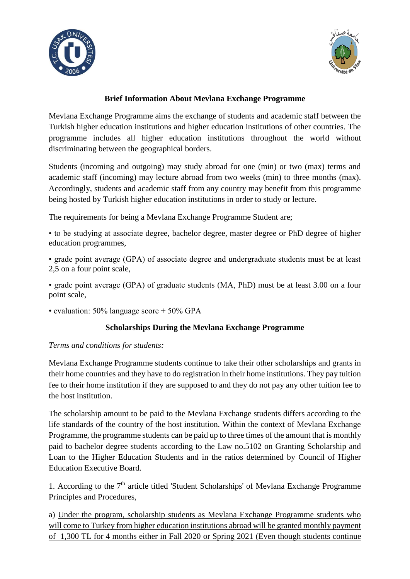



### **Brief Information About Mevlana Exchange Programme**

Mevlana Exchange Programme aims the exchange of students and academic staff between the Turkish higher education institutions and higher education institutions of other countries. The programme includes all higher education institutions throughout the world without discriminating between the geographical borders.

Students (incoming and outgoing) may study abroad for one (min) or two (max) terms and academic staff (incoming) may lecture abroad from two weeks (min) to three months (max). Accordingly, students and academic staff from any country may benefit from this programme being hosted by Turkish higher education institutions in order to study or lecture.

The requirements for being a Mevlana Exchange Programme Student are;

• to be studying at associate degree, bachelor degree, master degree or PhD degree of higher education programmes,

• grade point average (GPA) of associate degree and undergraduate students must be at least 2,5 on a four point scale,

• grade point average (GPA) of graduate students (MA, PhD) must be at least 3.00 on a four point scale,

• evaluation: 50% language score + 50% GPA

#### **Scholarships During the Mevlana Exchange Programme**

#### *Terms and conditions for students:*

Mevlana Exchange Programme students continue to take their other scholarships and grants in their home countries and they have to do registration in their home institutions. They pay tuition fee to their home institution if they are supposed to and they do not pay any other tuition fee to the host institution.

The scholarship amount to be paid to the Mevlana Exchange students differs according to the life standards of the country of the host institution. Within the context of Mevlana Exchange Programme, the programme students can be paid up to three times of the amount that is monthly paid to bachelor degree students according to the Law no.5102 on Granting Scholarship and Loan to the Higher Education Students and in the ratios determined by Council of Higher Education Executive Board.

1. According to the  $7<sup>th</sup>$  article titled 'Student Scholarships' of Mevlana Exchange Programme Principles and Procedures,

a) Under the program, scholarship students as Mevlana Exchange Programme students who will come to Turkey from higher education institutions abroad will be granted monthly payment of 1,300 TL for 4 months either in Fall 2020 or Spring 2021 (Even though students continue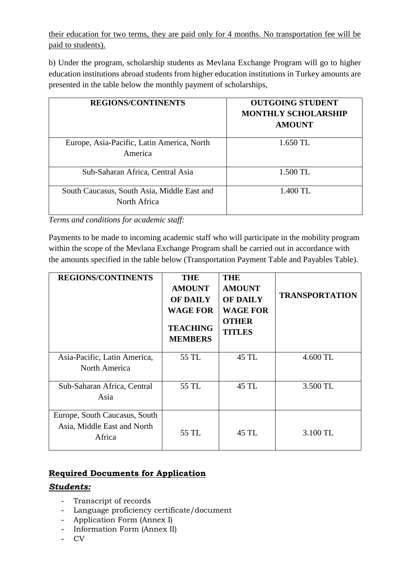their education for two terms, they are paid only for 4 months. No transportation fee will be paid to students).

b) Under the program, scholarship students as Mevlana Exchange Program will go to higher education institutions abroad students from higher education institutions in Turkey amounts are presented in the table below the monthly payment of scholarships,

| <b>REGIONS/CONTINENTS</b>                                   | <b>OUTGOING STUDENT</b><br><b>MONTHLY SCHOLARSHIP</b><br><b>AMOUNT</b> |
|-------------------------------------------------------------|------------------------------------------------------------------------|
| Europe, Asia-Pacific, Latin America, North<br>America       | 1.650 TL                                                               |
| Sub-Saharan Africa, Central Asia                            | 1.500 TL                                                               |
| South Caucasus, South Asia, Middle East and<br>North Africa | 1.400 TL                                                               |

*Terms and conditions for academic staff:*

Payments to be made to incoming academic staff who will participate in the mobility program within the scope of the Mevlana Exchange Program shall be carried out in accordance with the amounts specified in the table below (Transportation Payment Table and Payables Table).

| <b>REGIONS/CONTINENTS</b>                                              | <b>THE</b><br><b>AMOUNT</b><br><b>OF DAILY</b><br><b>WAGE FOR</b><br><b>TEACHING</b><br><b>MEMBERS</b> | <b>THE</b><br><b>AMOUNT</b><br><b>OF DAILY</b><br><b>WAGE FOR</b><br><b>OTHER</b><br><b>TITLES</b> | <b>TRANSPORTATION</b> |
|------------------------------------------------------------------------|--------------------------------------------------------------------------------------------------------|----------------------------------------------------------------------------------------------------|-----------------------|
| Asia-Pacific, Latin America,<br>North America                          | 55 TL                                                                                                  | 45 TL                                                                                              | 4.600 TL              |
| Sub-Saharan Africa, Central<br>Asia                                    | 55 TL                                                                                                  | 45 TL                                                                                              | 3.500 TL              |
| Europe, South Caucasus, South<br>Asia, Middle East and North<br>Africa | 55 TL                                                                                                  | 45 TL                                                                                              | 3.100 TL              |

# **Required Documents for Application**

# *Students:*

- Transcript of records
- Language proficiency certificate/document
- Application Form (Annex I)
- Information Form (Annex II)
- CV